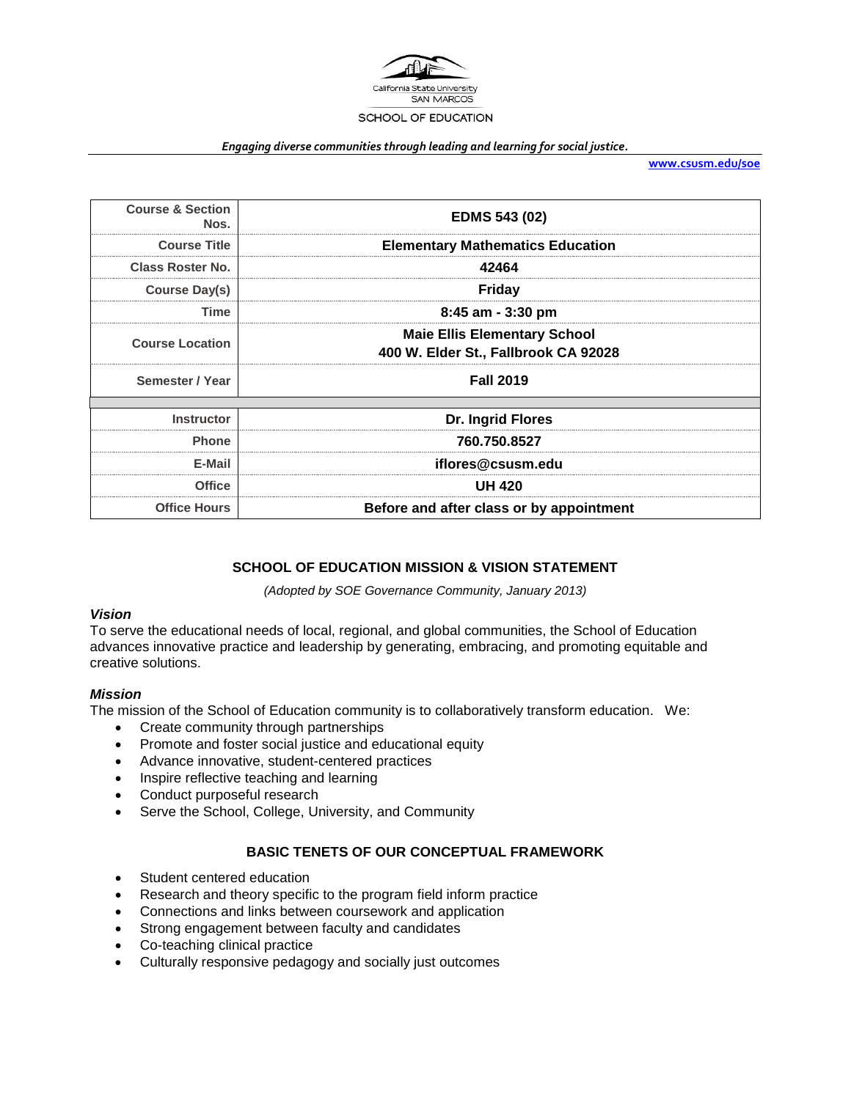

#### *Engaging diverse communities through leading and learning for social justice.*

**[www.csusm.edu/soe](http://www.csusm.edu/soe)**

| <b>Course &amp; Section</b><br>Nos. | <b>EDMS 543 (02)</b>                                                        |
|-------------------------------------|-----------------------------------------------------------------------------|
| <b>Course Title</b>                 | <b>Elementary Mathematics Education</b>                                     |
| <b>Class Roster No.</b>             | 42464                                                                       |
| Course Day(s)                       | Friday                                                                      |
| <b>Time</b>                         | 8:45 am - 3:30 pm                                                           |
| <b>Course Location</b>              | <b>Maie Ellis Elementary School</b><br>400 W. Elder St., Fallbrook CA 92028 |
| Semester / Year                     | <b>Fall 2019</b>                                                            |
|                                     |                                                                             |
| <b>Instructor</b>                   | Dr. Ingrid Flores                                                           |
| <b>Phone</b>                        | 760.750.8527                                                                |
| E-Mail                              | iflores@csusm.edu                                                           |
| <b>Office</b>                       | <b>UH 420</b>                                                               |
| <b>Office Hours</b>                 | Before and after class or by appointment                                    |

## **SCHOOL OF EDUCATION MISSION & VISION STATEMENT**

*(Adopted by SOE Governance Community, January 2013)*

#### *Vision*

To serve the educational needs of local, regional, and global communities, the School of Education advances innovative practice and leadership by generating, embracing, and promoting equitable and creative solutions.

#### *Mission*

The mission of the School of Education community is to collaboratively transform education. We:

- Create community through partnerships
- Promote and foster social justice and educational equity
- Advance innovative, student-centered practices
- Inspire reflective teaching and learning
- Conduct purposeful research
- Serve the School, College, University, and Community

## **BASIC TENETS OF OUR CONCEPTUAL FRAMEWORK**

- Student centered education
- Research and theory specific to the program field inform practice
- Connections and links between coursework and application
- Strong engagement between faculty and candidates
- Co-teaching clinical practice
- Culturally responsive pedagogy and socially just outcomes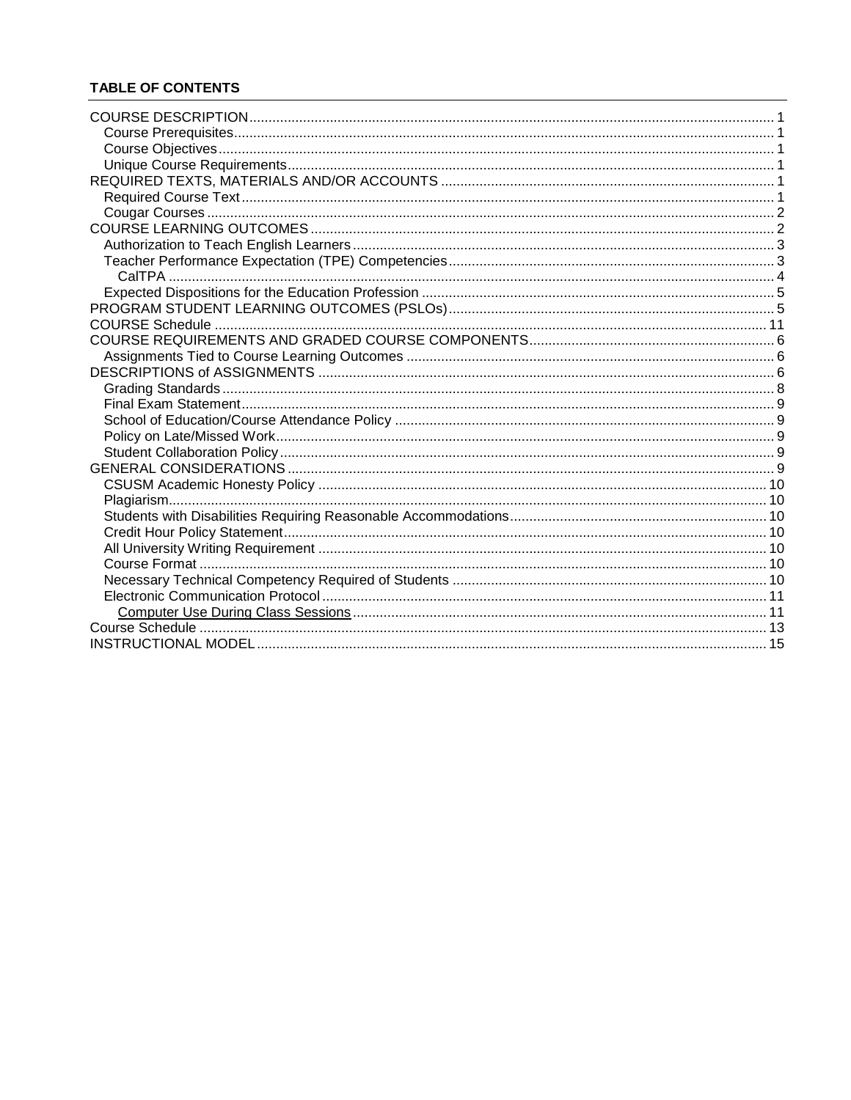# **TABLE OF CONTENTS**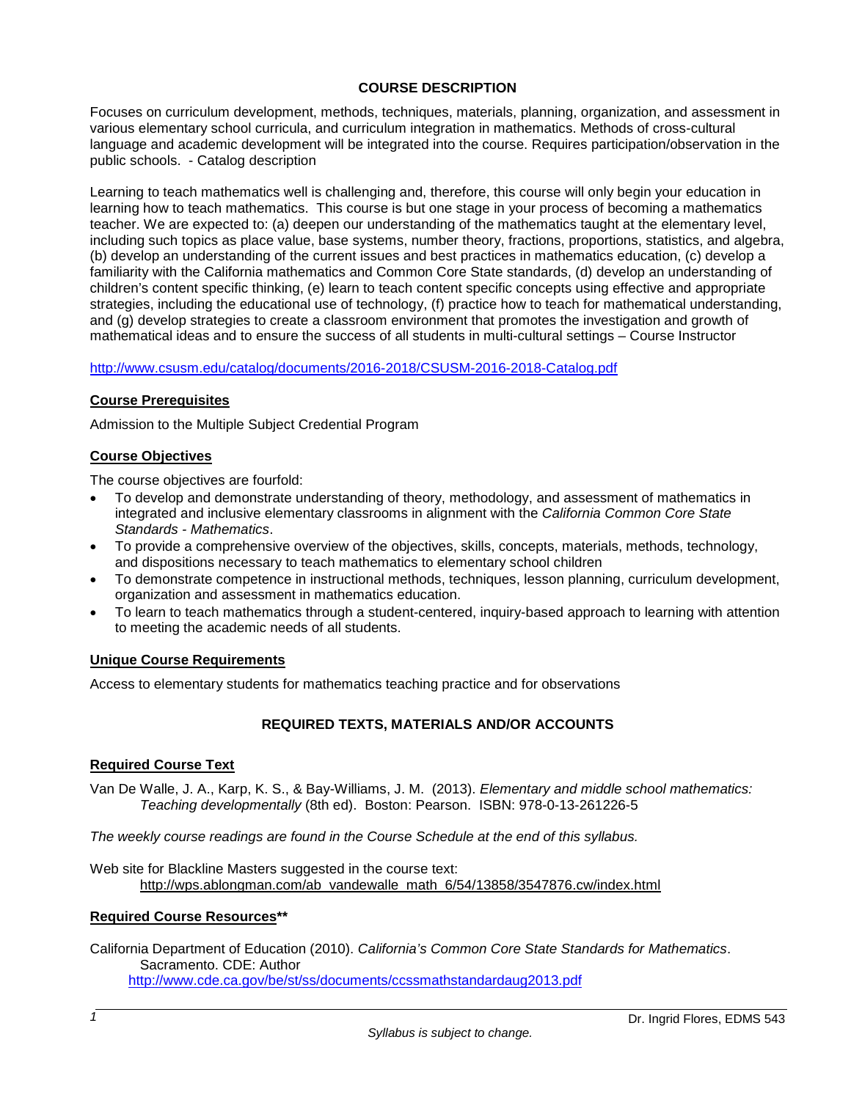## **COURSE DESCRIPTION**

Focuses on curriculum development, methods, techniques, materials, planning, organization, and assessment in various elementary school curricula, and curriculum integration in mathematics. Methods of cross-cultural language and academic development will be integrated into the course. Requires participation/observation in the public schools. - Catalog description

Learning to teach mathematics well is challenging and, therefore, this course will only begin your education in learning how to teach mathematics. This course is but one stage in your process of becoming a mathematics teacher. We are expected to: (a) deepen our understanding of the mathematics taught at the elementary level, including such topics as place value, base systems, number theory, fractions, proportions, statistics, and algebra, (b) develop an understanding of the current issues and best practices in mathematics education, (c) develop a familiarity with the California mathematics and Common Core State standards, (d) develop an understanding of children's content specific thinking, (e) learn to teach content specific concepts using effective and appropriate strategies, including the educational use of technology, (f) practice how to teach for mathematical understanding, and (g) develop strategies to create a classroom environment that promotes the investigation and growth of mathematical ideas and to ensure the success of all students in multi-cultural settings – Course Instructor

#### <http://www.csusm.edu/catalog/documents/2016-2018/CSUSM-2016-2018-Catalog.pdf>

#### **Course Prerequisites**

Admission to the Multiple Subject Credential Program

#### **Course Objectives**

The course objectives are fourfold:

- To develop and demonstrate understanding of theory, methodology, and assessment of mathematics in integrated and inclusive elementary classrooms in alignment with the *California Common Core State Standards - Mathematics*.
- To provide a comprehensive overview of the objectives, skills, concepts, materials, methods, technology, and dispositions necessary to teach mathematics to elementary school children
- To demonstrate competence in instructional methods, techniques, lesson planning, curriculum development, organization and assessment in mathematics education.
- To learn to teach mathematics through a student-centered, inquiry-based approach to learning with attention to meeting the academic needs of all students.

#### **Unique Course Requirements**

Access to elementary students for mathematics teaching practice and for observations

## **REQUIRED TEXTS, MATERIALS AND/OR ACCOUNTS**

#### **Required Course Text**

Van De Walle, J. A., Karp, K. S., & Bay-Williams, J. M. (2013). *Elementary and middle school mathematics: Teaching developmentally* (8th ed). Boston: Pearson. ISBN: 978-0-13-261226-5

*The weekly course readings are found in the Course Schedule at the end of this syllabus.*

Web site for Blackline Masters suggested in the course text: [http://wps.ablongman.com/ab\\_vandewalle\\_math\\_6/54/13858/3547876.cw/index.html](http://wps.ablongman.com/ab_vandewalle_math_6/54/13858/3547876.cw/index.html)

#### **Required Course Resources\*\***

California Department of Education (2010). *California's Common Core State Standards for Mathematics*. Sacramento. CDE: Author <http://www.cde.ca.gov/be/st/ss/documents/ccssmathstandardaug2013.pdf>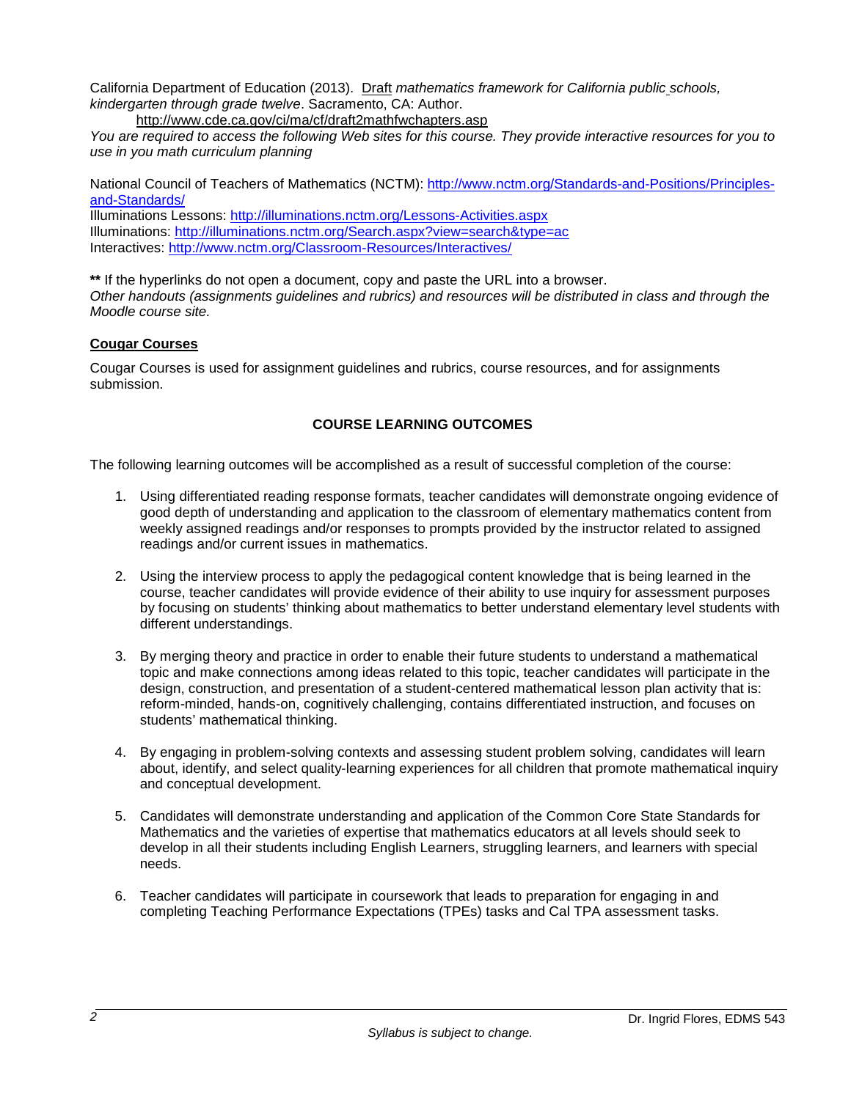California Department of Education (2013). Draft *mathematics framework for California public schools, kindergarten through grade twelve*. Sacramento, CA: Author.

<http://www.cde.ca.gov/ci/ma/cf/draft2mathfwchapters.asp>

*You are required to access the following Web sites for this course. They provide interactive resources for you to use in you math curriculum planning*

National Council of Teachers of Mathematics (NCTM): [http://www.nctm.org/Standards-and-Positions/Principles](http://www.nctm.org/Standards-and-Positions/Principles-and-Standards/)[and-Standards/](http://www.nctm.org/Standards-and-Positions/Principles-and-Standards/)

Illuminations Lessons:<http://illuminations.nctm.org/Lessons-Activities.aspx> Illuminations:<http://illuminations.nctm.org/Search.aspx?view=search&type=ac> Interactives:<http://www.nctm.org/Classroom-Resources/Interactives/>

**\*\*** If the hyperlinks do not open a document, copy and paste the URL into a browser. *Other handouts (assignments guidelines and rubrics) and resources will be distributed in class and through the Moodle course site.*

## **Cougar Courses**

Cougar Courses is used for assignment guidelines and rubrics, course resources, and for assignments submission.

## **COURSE LEARNING OUTCOMES**

The following learning outcomes will be accomplished as a result of successful completion of the course:

- 1. Using differentiated reading response formats, teacher candidates will demonstrate ongoing evidence of good depth of understanding and application to the classroom of elementary mathematics content from weekly assigned readings and/or responses to prompts provided by the instructor related to assigned readings and/or current issues in mathematics.
- 2. Using the interview process to apply the pedagogical content knowledge that is being learned in the course, teacher candidates will provide evidence of their ability to use inquiry for assessment purposes by focusing on students' thinking about mathematics to better understand elementary level students with different understandings.
- 3. By merging theory and practice in order to enable their future students to understand a mathematical topic and make connections among ideas related to this topic, teacher candidates will participate in the design, construction, and presentation of a student-centered mathematical lesson plan activity that is: reform-minded, hands-on, cognitively challenging, contains differentiated instruction, and focuses on students' mathematical thinking.
- 4. By engaging in problem-solving contexts and assessing student problem solving, candidates will learn about, identify, and select quality-learning experiences for all children that promote mathematical inquiry and conceptual development.
- 5. Candidates will demonstrate understanding and application of the Common Core State Standards for Mathematics and the varieties of expertise that mathematics educators at all levels should seek to develop in all their students including English Learners, struggling learners, and learners with special needs.
- 6. Teacher candidates will participate in coursework that leads to preparation for engaging in and completing Teaching Performance Expectations (TPEs) tasks and Cal TPA assessment tasks.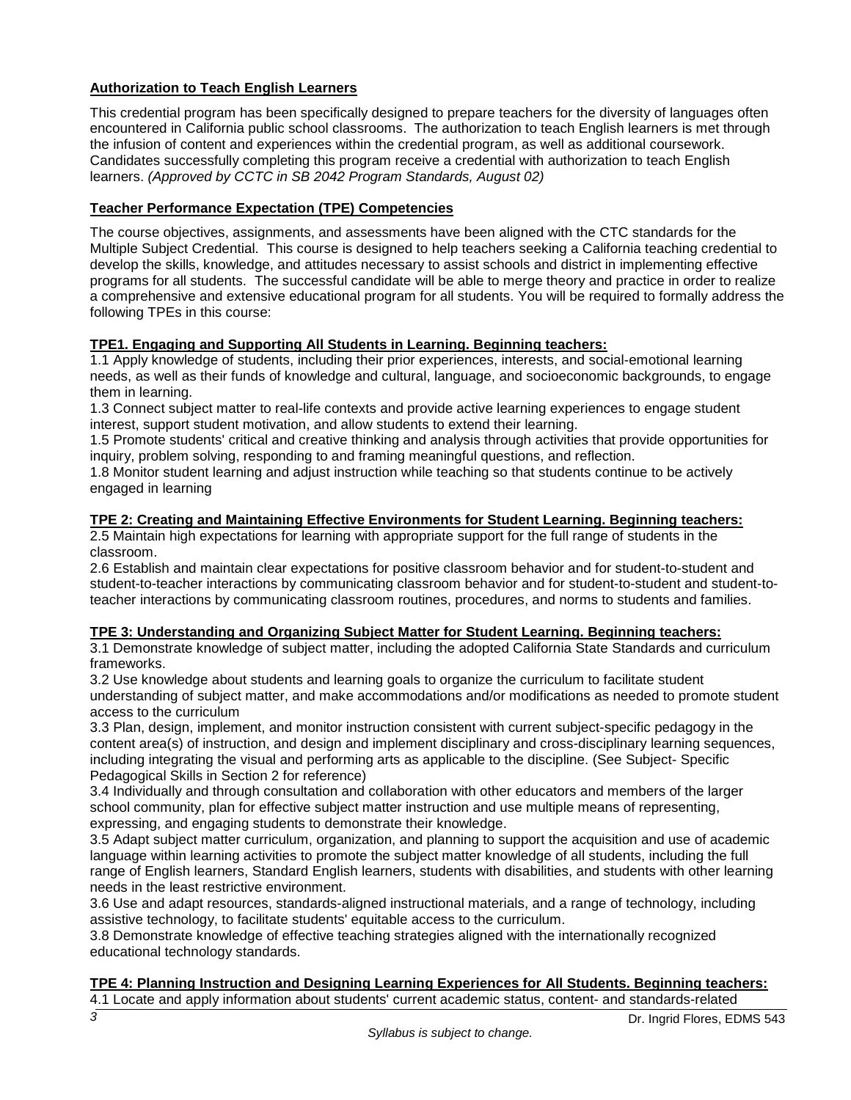# **Authorization to Teach English Learners**

This credential program has been specifically designed to prepare teachers for the diversity of languages often encountered in California public school classrooms. The authorization to teach English learners is met through the infusion of content and experiences within the credential program, as well as additional coursework. Candidates successfully completing this program receive a credential with authorization to teach English learners. *(Approved by CCTC in SB 2042 Program Standards, August 02)*

## **Teacher Performance Expectation (TPE) Competencies**

The course objectives, assignments, and assessments have been aligned with the CTC standards for the Multiple Subject Credential. This course is designed to help teachers seeking a California teaching credential to develop the skills, knowledge, and attitudes necessary to assist schools and district in implementing effective programs for all students. The successful candidate will be able to merge theory and practice in order to realize a comprehensive and extensive educational program for all students. You will be required to formally address the following TPEs in this course:

## **TPE1. Engaging and Supporting All Students in Learning. Beginning teachers:**

1.1 Apply knowledge of students, including their prior experiences, interests, and social-emotional learning needs, as well as their funds of knowledge and cultural, language, and socioeconomic backgrounds, to engage them in learning.

1.3 Connect subject matter to real-life contexts and provide active learning experiences to engage student interest, support student motivation, and allow students to extend their learning.

1.5 Promote students' critical and creative thinking and analysis through activities that provide opportunities for inquiry, problem solving, responding to and framing meaningful questions, and reflection.

1.8 Monitor student learning and adjust instruction while teaching so that students continue to be actively engaged in learning

## **TPE 2: Creating and Maintaining Effective Environments for Student Learning. Beginning teachers:**

2.5 Maintain high expectations for learning with appropriate support for the full range of students in the classroom.

2.6 Establish and maintain clear expectations for positive classroom behavior and for student-to-student and student-to-teacher interactions by communicating classroom behavior and for student-to-student and student-toteacher interactions by communicating classroom routines, procedures, and norms to students and families.

## **TPE 3: Understanding and Organizing Subject Matter for Student Learning. Beginning teachers:**

3.1 Demonstrate knowledge of subject matter, including the adopted California State Standards and curriculum frameworks.

3.2 Use knowledge about students and learning goals to organize the curriculum to facilitate student understanding of subject matter, and make accommodations and/or modifications as needed to promote student access to the curriculum

3.3 Plan, design, implement, and monitor instruction consistent with current subject-specific pedagogy in the content area(s) of instruction, and design and implement disciplinary and cross-disciplinary learning sequences, including integrating the visual and performing arts as applicable to the discipline. (See Subject- Specific Pedagogical Skills in Section 2 for reference)

3.4 Individually and through consultation and collaboration with other educators and members of the larger school community, plan for effective subject matter instruction and use multiple means of representing, expressing, and engaging students to demonstrate their knowledge.

3.5 Adapt subject matter curriculum, organization, and planning to support the acquisition and use of academic language within learning activities to promote the subject matter knowledge of all students, including the full range of English learners, Standard English learners, students with disabilities, and students with other learning needs in the least restrictive environment.

3.6 Use and adapt resources, standards-aligned instructional materials, and a range of technology, including assistive technology, to facilitate students' equitable access to the curriculum.

3.8 Demonstrate knowledge of effective teaching strategies aligned with the internationally recognized educational technology standards.

## **TPE 4: Planning Instruction and Designing Learning Experiences for All Students. Beginning teachers:**

4.1 Locate and apply information about students' current academic status, content- and standards-related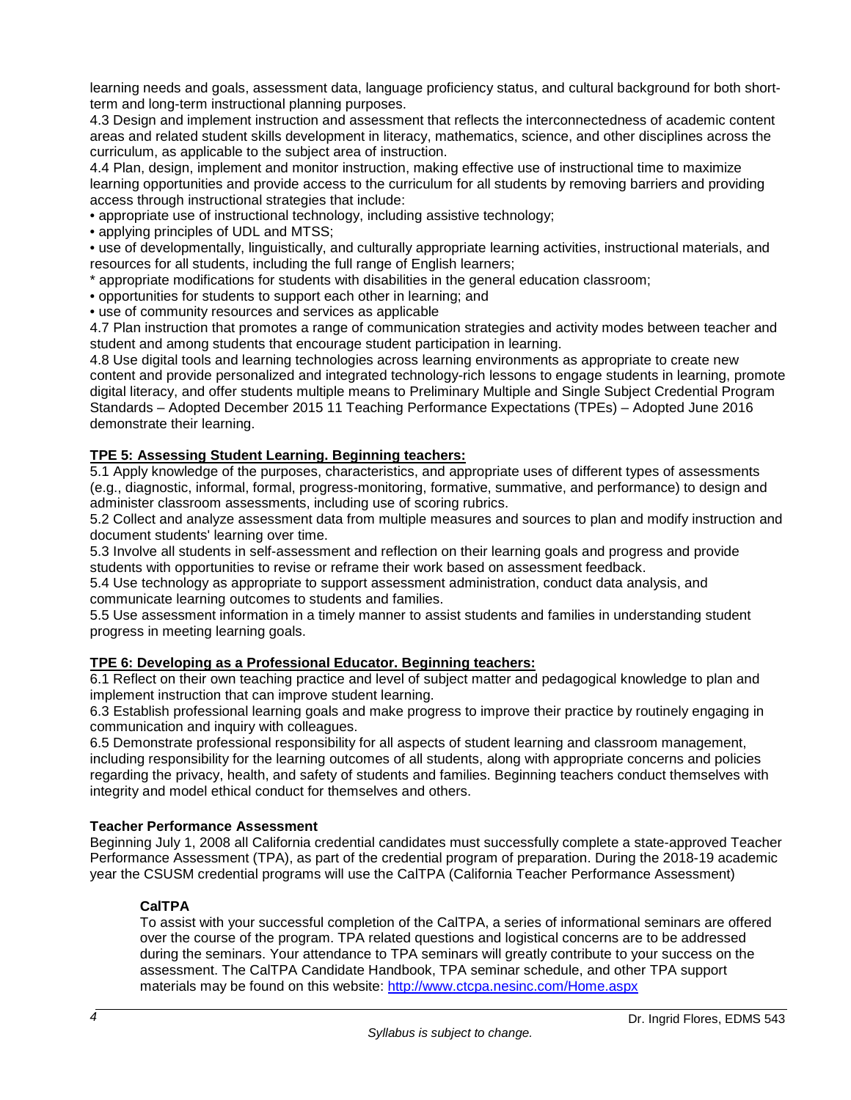learning needs and goals, assessment data, language proficiency status, and cultural background for both shortterm and long-term instructional planning purposes.

4.3 Design and implement instruction and assessment that reflects the interconnectedness of academic content areas and related student skills development in literacy, mathematics, science, and other disciplines across the curriculum, as applicable to the subject area of instruction.

4.4 Plan, design, implement and monitor instruction, making effective use of instructional time to maximize learning opportunities and provide access to the curriculum for all students by removing barriers and providing access through instructional strategies that include:

• appropriate use of instructional technology, including assistive technology;

• applying principles of UDL and MTSS;

• use of developmentally, linguistically, and culturally appropriate learning activities, instructional materials, and resources for all students, including the full range of English learners;

\* appropriate modifications for students with disabilities in the general education classroom;

• opportunities for students to support each other in learning; and

• use of community resources and services as applicable

4.7 Plan instruction that promotes a range of communication strategies and activity modes between teacher and student and among students that encourage student participation in learning.

4.8 Use digital tools and learning technologies across learning environments as appropriate to create new content and provide personalized and integrated technology-rich lessons to engage students in learning, promote digital literacy, and offer students multiple means to Preliminary Multiple and Single Subject Credential Program Standards – Adopted December 2015 11 Teaching Performance Expectations (TPEs) – Adopted June 2016 demonstrate their learning.

# **TPE 5: Assessing Student Learning. Beginning teachers:**

5.1 Apply knowledge of the purposes, characteristics, and appropriate uses of different types of assessments (e.g., diagnostic, informal, formal, progress-monitoring, formative, summative, and performance) to design and administer classroom assessments, including use of scoring rubrics.

5.2 Collect and analyze assessment data from multiple measures and sources to plan and modify instruction and document students' learning over time.

5.3 Involve all students in self-assessment and reflection on their learning goals and progress and provide students with opportunities to revise or reframe their work based on assessment feedback.

5.4 Use technology as appropriate to support assessment administration, conduct data analysis, and communicate learning outcomes to students and families.

5.5 Use assessment information in a timely manner to assist students and families in understanding student progress in meeting learning goals.

# **TPE 6: Developing as a Professional Educator. Beginning teachers:**

6.1 Reflect on their own teaching practice and level of subject matter and pedagogical knowledge to plan and implement instruction that can improve student learning.

6.3 Establish professional learning goals and make progress to improve their practice by routinely engaging in communication and inquiry with colleagues.

6.5 Demonstrate professional responsibility for all aspects of student learning and classroom management, including responsibility for the learning outcomes of all students, along with appropriate concerns and policies regarding the privacy, health, and safety of students and families. Beginning teachers conduct themselves with integrity and model ethical conduct for themselves and others.

## **Teacher Performance Assessment**

Beginning July 1, 2008 all California credential candidates must successfully complete a state-approved Teacher Performance Assessment (TPA), as part of the credential program of preparation. During the 2018-19 academic year the CSUSM credential programs will use the CalTPA (California Teacher Performance Assessment)

# **CalTPA**

To assist with your successful completion of the CalTPA, a series of informational seminars are offered over the course of the program. TPA related questions and logistical concerns are to be addressed during the seminars. Your attendance to TPA seminars will greatly contribute to your success on the assessment. The CalTPA Candidate Handbook, TPA seminar schedule, and other TPA support materials may be found on this website:<http://www.ctcpa.nesinc.com/Home.aspx>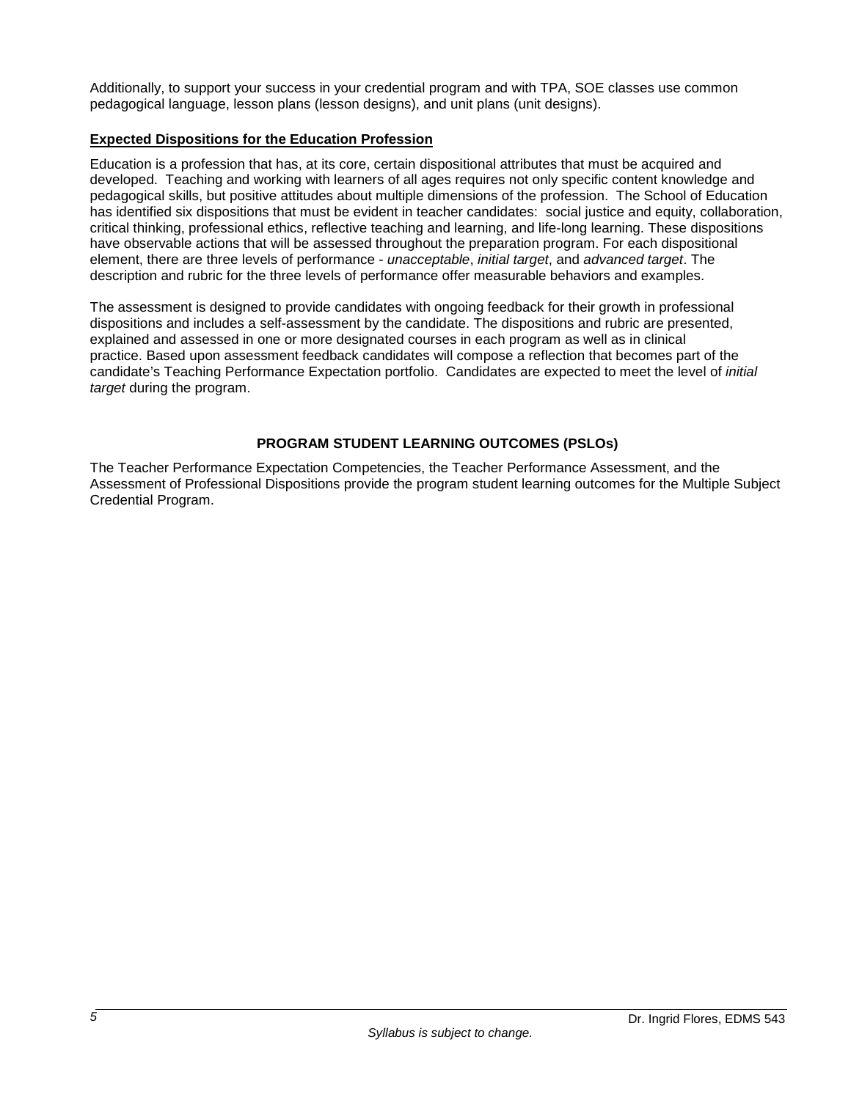Additionally, to support your success in your credential program and with TPA, SOE classes use common pedagogical language, lesson plans (lesson designs), and unit plans (unit designs).

## **Expected Dispositions for the Education Profession**

Education is a profession that has, at its core, certain dispositional attributes that must be acquired and developed. Teaching and working with learners of all ages requires not only specific content knowledge and pedagogical skills, but positive attitudes about multiple dimensions of the profession. The School of Education has identified six dispositions that must be evident in teacher candidates: social justice and equity, collaboration, critical thinking, professional ethics, reflective teaching and learning, and life-long learning. These dispositions have observable actions that will be assessed throughout the preparation program. For each dispositional element, there are three levels of performance - *unacceptable*, *initial target*, and *advanced target*. The description and rubric for the three levels of performance offer measurable behaviors and examples.

The assessment is designed to provide candidates with ongoing feedback for their growth in professional dispositions and includes a self-assessment by the candidate. The dispositions and rubric are presented, explained and assessed in one or more designated courses in each program as well as in clinical practice. Based upon assessment feedback candidates will compose a reflection that becomes part of the candidate's Teaching Performance Expectation portfolio. Candidates are expected to meet the level of *initial target* during the program.

# **PROGRAM STUDENT LEARNING OUTCOMES (PSLOs)**

The Teacher Performance Expectation Competencies, the Teacher Performance Assessment, and the Assessment of Professional Dispositions provide the program student learning outcomes for the Multiple Subject Credential Program.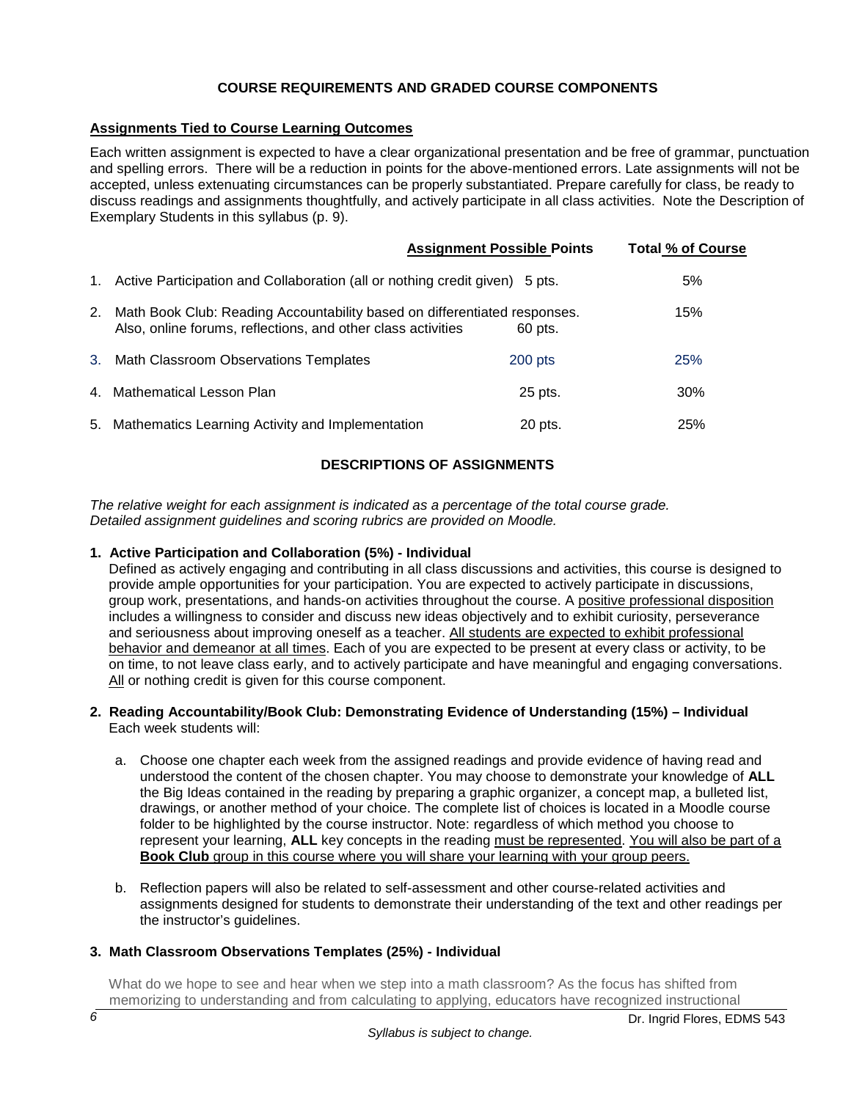## **COURSE REQUIREMENTS AND GRADED COURSE COMPONENTS**

## **Assignments Tied to Course Learning Outcomes**

Each written assignment is expected to have a clear organizational presentation and be free of grammar, punctuation and spelling errors. There will be a reduction in points for the above-mentioned errors. Late assignments will not be accepted, unless extenuating circumstances can be properly substantiated. Prepare carefully for class, be ready to discuss readings and assignments thoughtfully, and actively participate in all class activities. Note the Description of Exemplary Students in this syllabus (p. 9).

|    |                                                                                                                                           | <b>Assignment Possible Points</b> | <b>Total % of Course</b> |
|----|-------------------------------------------------------------------------------------------------------------------------------------------|-----------------------------------|--------------------------|
| 1. | Active Participation and Collaboration (all or nothing credit given) 5 pts.                                                               |                                   | 5%                       |
| 2. | Math Book Club: Reading Accountability based on differentiated responses.<br>Also, online forums, reflections, and other class activities | 60 pts.                           | 15%                      |
|    | 3. Math Classroom Observations Templates                                                                                                  | $200$ pts                         | 25%                      |
|    | 4. Mathematical Lesson Plan                                                                                                               | 25 pts.                           | 30%                      |
|    | 5. Mathematics Learning Activity and Implementation                                                                                       | 20 pts.                           | 25%                      |

## **DESCRIPTIONS OF ASSIGNMENTS**

*The relative weight for each assignment is indicated as a percentage of the total course grade. Detailed assignment guidelines and scoring rubrics are provided on Moodle.* 

### **1. Active Participation and Collaboration (5%) - Individual**

Defined as actively engaging and contributing in all class discussions and activities, this course is designed to provide ample opportunities for your participation. You are expected to actively participate in discussions, group work, presentations, and hands-on activities throughout the course. A positive professional disposition includes a willingness to consider and discuss new ideas objectively and to exhibit curiosity, perseverance and seriousness about improving oneself as a teacher. All students are expected to exhibit professional behavior and demeanor at all times. Each of you are expected to be present at every class or activity, to be on time, to not leave class early, and to actively participate and have meaningful and engaging conversations. All or nothing credit is given for this course component.

#### **2. Reading Accountability/Book Club: Demonstrating Evidence of Understanding (15%) – Individual** Each week students will:

- a. Choose one chapter each week from the assigned readings and provide evidence of having read and understood the content of the chosen chapter. You may choose to demonstrate your knowledge of **ALL** the Big Ideas contained in the reading by preparing a graphic organizer, a concept map, a bulleted list, drawings, or another method of your choice. The complete list of choices is located in a Moodle course folder to be highlighted by the course instructor. Note: regardless of which method you choose to represent your learning, **ALL** key concepts in the reading must be represented. You will also be part of a Book Club group in this course where you will share your learning with your group peers.
- b. Reflection papers will also be related to self-assessment and other course-related activities and assignments designed for students to demonstrate their understanding of the text and other readings per the instructor's guidelines.

## **3. Math Classroom Observations Templates (25%) - Individual**

 What do we hope to see and hear when we step into a math classroom? As the focus has shifted from memorizing to understanding and from calculating to applying, educators have recognized instructional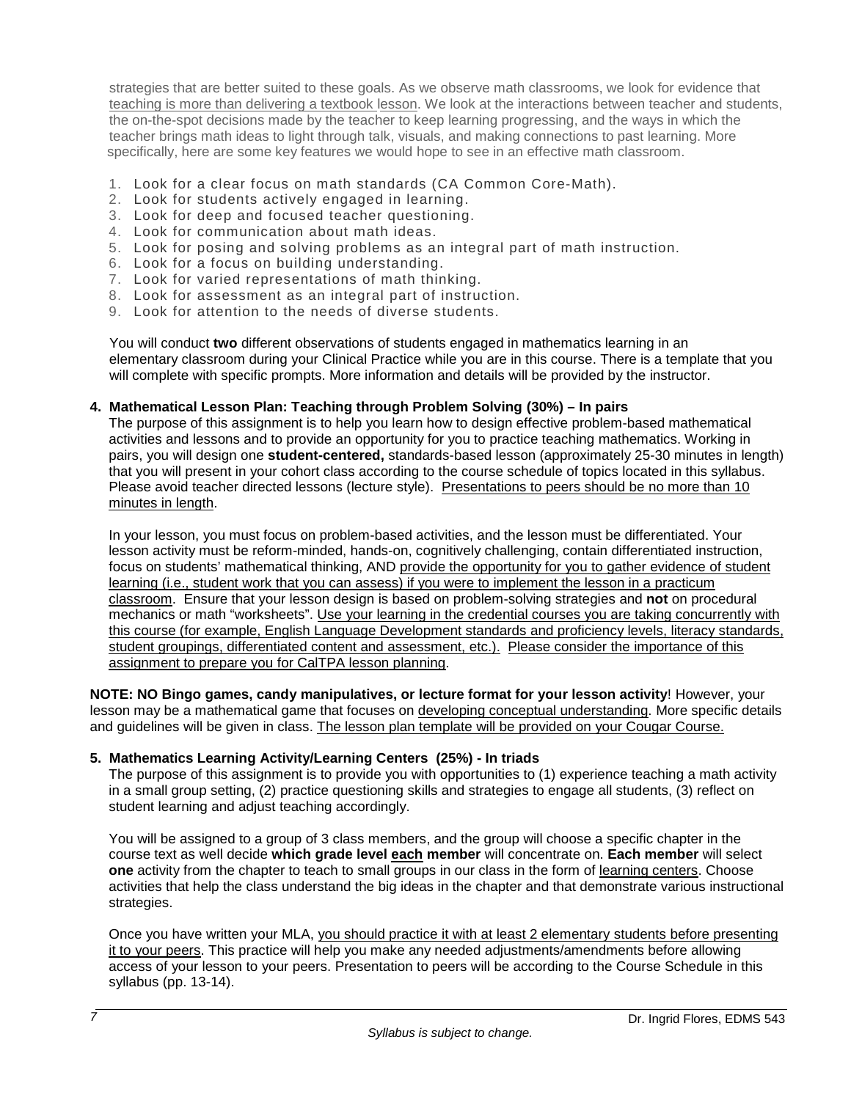strategies that are better suited to these goals. As we observe math classrooms, we look for evidence that teaching is more than delivering a textbook lesson. We look at the interactions between teacher and students, the on-the-spot decisions made by the teacher to keep learning progressing, and the ways in which the teacher brings math ideas to light through talk, visuals, and making connections to past learning. More specifically, here are some key features we would hope to see in an effective math classroom.

- 1. Look for a clear focus on math standards (CA Common Core-Math).
- 2. Look for students actively engaged in learning.
- 3. Look for deep and focused teacher questioning.
- 4. Look for communication about math ideas.
- 5. Look for posing and solving problems as an integral part of math instruction.
- 6. Look for a focus on building understanding.
- 7. Look for varied representations of math thinking.
- 8. Look for assessment as an integral part of instruction.
- 9. Look for attention to the needs of diverse students.

 You will conduct **two** different observations of students engaged in mathematics learning in an elementary classroom during your Clinical Practice while you are in this course. There is a template that you will complete with specific prompts. More information and details will be provided by the instructor.

#### **4. Mathematical Lesson Plan: Teaching through Problem Solving (30%) – In pairs**

The purpose of this assignment is to help you learn how to design effective problem-based mathematical activities and lessons and to provide an opportunity for you to practice teaching mathematics. Working in pairs, you will design one **student-centered,** standards-based lesson (approximately 25-30 minutes in length) that you will present in your cohort class according to the course schedule of topics located in this syllabus. Please avoid teacher directed lessons (lecture style). Presentations to peers should be no more than 10 minutes in length.

In your lesson, you must focus on problem-based activities, and the lesson must be differentiated. Your lesson activity must be reform-minded, hands-on, cognitively challenging, contain differentiated instruction, focus on students' mathematical thinking, AND provide the opportunity for you to gather evidence of student learning (i.e., student work that you can assess) if you were to implement the lesson in a practicum classroom. Ensure that your lesson design is based on problem-solving strategies and **not** on procedural mechanics or math "worksheets". Use your learning in the credential courses you are taking concurrently with this course (for example, English Language Development standards and proficiency levels, literacy standards, student groupings, differentiated content and assessment, etc.). Please consider the importance of this assignment to prepare you for CalTPA lesson planning.

**NOTE: NO Bingo games, candy manipulatives, or lecture format for your lesson activity**! However, your lesson may be a mathematical game that focuses on developing conceptual understanding. More specific details and guidelines will be given in class. The lesson plan template will be provided on your Cougar Course.

#### **5. Mathematics Learning Activity/Learning Centers (25%) - In triads**

The purpose of this assignment is to provide you with opportunities to (1) experience teaching a math activity in a small group setting, (2) practice questioning skills and strategies to engage all students, (3) reflect on student learning and adjust teaching accordingly.

You will be assigned to a group of 3 class members, and the group will choose a specific chapter in the course text as well decide **which grade level each member** will concentrate on. **Each member** will select **one** activity from the chapter to teach to small groups in our class in the form of learning centers. Choose activities that help the class understand the big ideas in the chapter and that demonstrate various instructional strategies.

Once you have written your MLA, you should practice it with at least 2 elementary students before presenting it to your peers. This practice will help you make any needed adjustments/amendments before allowing access of your lesson to your peers. Presentation to peers will be according to the Course Schedule in this syllabus (pp. 13-14).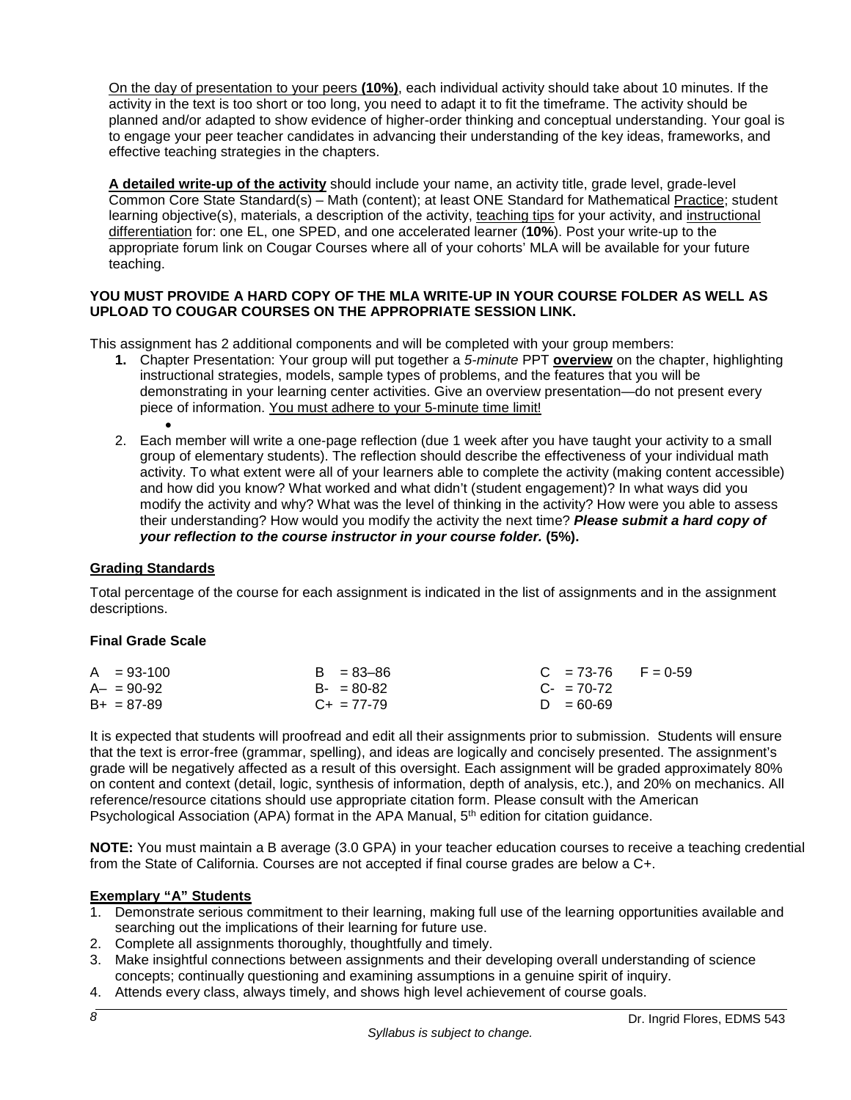On the day of presentation to your peers **(10%)**, each individual activity should take about 10 minutes. If the activity in the text is too short or too long, you need to adapt it to fit the timeframe. The activity should be planned and/or adapted to show evidence of higher-order thinking and conceptual understanding. Your goal is to engage your peer teacher candidates in advancing their understanding of the key ideas, frameworks, and effective teaching strategies in the chapters.

A detailed write-up of the activity should include your name, an activity title, grade level, grade-level Common Core State Standard(s) – Math (content); at least ONE Standard for Mathematical Practice; student learning objective(s), materials, a description of the activity, teaching tips for your activity, and instructional differentiation for: one EL, one SPED, and one accelerated learner (**10%**). Post your write-up to the appropriate forum link on Cougar Courses where all of your cohorts' MLA will be available for your future teaching.

## **YOU MUST PROVIDE A HARD COPY OF THE MLA WRITE-UP IN YOUR COURSE FOLDER AS WELL AS UPLOAD TO COUGAR COURSES ON THE APPROPRIATE SESSION LINK.**

This assignment has 2 additional components and will be completed with your group members:

- **1.** Chapter Presentation: Your group will put together a *5-minute* PPT **overview** on the chapter, highlighting instructional strategies, models, sample types of problems, and the features that you will be demonstrating in your learning center activities. Give an overview presentation—do not present every piece of information. You must adhere to your 5-minute time limit!
- 2. Each member will write a one-page reflection (due 1 week after you have taught your activity to a small group of elementary students). The reflection should describe the effectiveness of your individual math activity. To what extent were all of your learners able to complete the activity (making content accessible) and how did you know? What worked and what didn't (student engagement)? In what ways did you modify the activity and why? What was the level of thinking in the activity? How were you able to assess their understanding? How would you modify the activity the next time? *Please submit a hard copy of your reflection to the course instructor in your course folder.* **(5%).**

# **Grading Standards**

Total percentage of the course for each assignment is indicated in the list of assignments and in the assignment descriptions.

## **Final Grade Scale**

| $A = 93-100$    | $B = 83 - 86$   | $C = 73-76$ F = 0-59   |
|-----------------|-----------------|------------------------|
| $A - = 90 - 92$ | $B - = 80 - 82$ | $C_{\text{F}}$ = 70-72 |
| $B+ = 87-89$    | $C_{+}$ = 77-79 | $D = 60 - 69$          |

It is expected that students will proofread and edit all their assignments prior to submission. Students will ensure that the text is error-free (grammar, spelling), and ideas are logically and concisely presented. The assignment's grade will be negatively affected as a result of this oversight. Each assignment will be graded approximately 80% on content and context (detail, logic, synthesis of information, depth of analysis, etc.), and 20% on mechanics. All reference/resource citations should use appropriate citation form. Please consult with the American Psychological Association (APA) format in the APA Manual, 5<sup>th</sup> edition for citation guidance.

**NOTE:** You must maintain a B average (3.0 GPA) in your teacher education courses to receive a teaching credential from the State of California. Courses are not accepted if final course grades are below a C+.

## **Exemplary "A" Students**

- 1. Demonstrate serious commitment to their learning, making full use of the learning opportunities available and searching out the implications of their learning for future use.
- 2. Complete all assignments thoroughly, thoughtfully and timely.
- 3. Make insightful connections between assignments and their developing overall understanding of science concepts; continually questioning and examining assumptions in a genuine spirit of inquiry.
- 4. Attends every class, always timely, and shows high level achievement of course goals.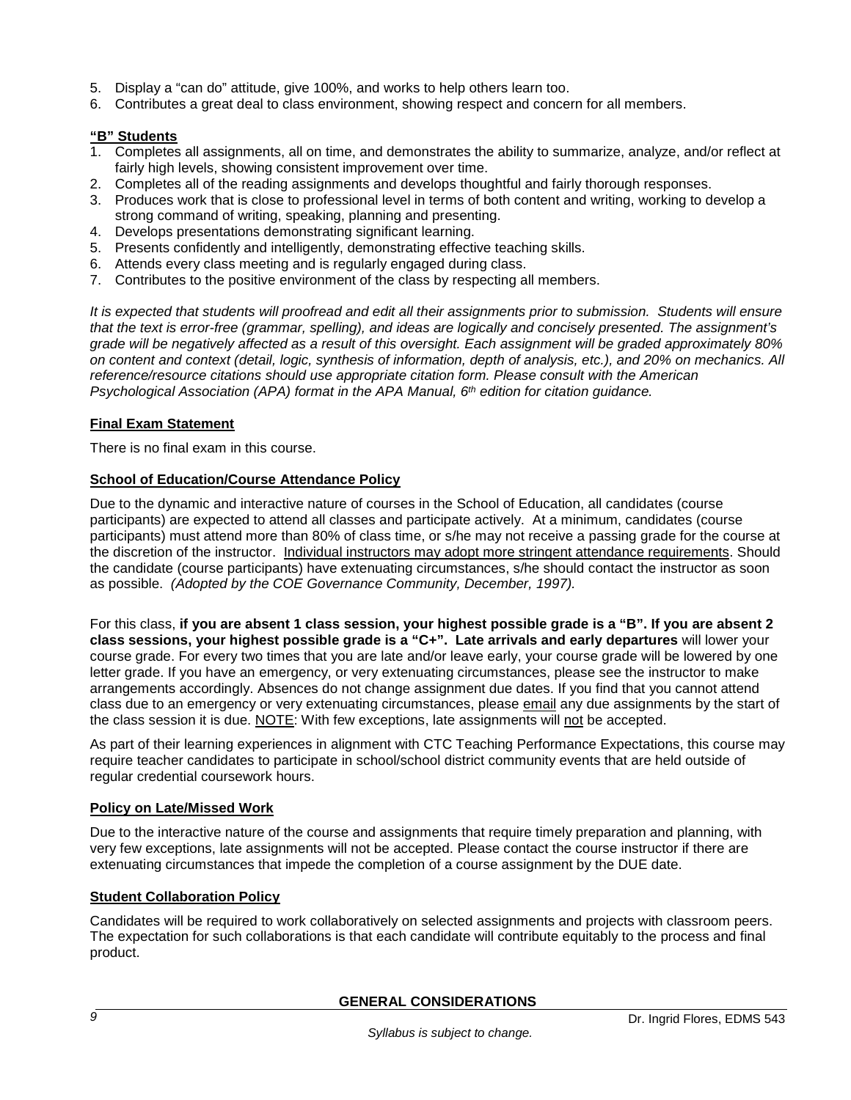- 5. Display a "can do" attitude, give 100%, and works to help others learn too.
- 6. Contributes a great deal to class environment, showing respect and concern for all members.

#### **"B" Students**

- 1. Completes all assignments, all on time, and demonstrates the ability to summarize, analyze, and/or reflect at fairly high levels, showing consistent improvement over time.
- 2. Completes all of the reading assignments and develops thoughtful and fairly thorough responses.
- 3. Produces work that is close to professional level in terms of both content and writing, working to develop a strong command of writing, speaking, planning and presenting.
- 4. Develops presentations demonstrating significant learning.
- 5. Presents confidently and intelligently, demonstrating effective teaching skills.
- 6. Attends every class meeting and is regularly engaged during class.
- 7. Contributes to the positive environment of the class by respecting all members.

*It is expected that students will proofread and edit all their assignments prior to submission. Students will ensure that the text is error-free (grammar, spelling), and ideas are logically and concisely presented. The assignment's grade will be negatively affected as a result of this oversight. Each assignment will be graded approximately 80% on content and context (detail, logic, synthesis of information, depth of analysis, etc.), and 20% on mechanics. All reference/resource citations should use appropriate citation form. Please consult with the American Psychological Association (APA) format in the APA Manual, 6th edition for citation guidance.*

#### **Final Exam Statement**

There is no final exam in this course.

#### **School of Education/Course Attendance Policy**

Due to the dynamic and interactive nature of courses in the School of Education, all candidates (course participants) are expected to attend all classes and participate actively. At a minimum, candidates (course participants) must attend more than 80% of class time, or s/he may not receive a passing grade for the course at the discretion of the instructor. Individual instructors may adopt more stringent attendance requirements. Should the candidate (course participants) have extenuating circumstances, s/he should contact the instructor as soon as possible. *(Adopted by the COE Governance Community, December, 1997).*

For this class, **if you are absent 1 class session, your highest possible grade is a "B". If you are absent 2 class sessions, your highest possible grade is a "C+". Late arrivals and early departures** will lower your course grade. For every two times that you are late and/or leave early, your course grade will be lowered by one letter grade. If you have an emergency, or very extenuating circumstances, please see the instructor to make arrangements accordingly. Absences do not change assignment due dates. If you find that you cannot attend class due to an emergency or very extenuating circumstances, please email any due assignments by the start of the class session it is due. NOTE: With few exceptions, late assignments will not be accepted.

As part of their learning experiences in alignment with CTC Teaching Performance Expectations, this course may require teacher candidates to participate in school/school district community events that are held outside of regular credential coursework hours.

#### **Policy on Late/Missed Work**

Due to the interactive nature of the course and assignments that require timely preparation and planning, with very few exceptions, late assignments will not be accepted. Please contact the course instructor if there are extenuating circumstances that impede the completion of a course assignment by the DUE date.

#### **Student Collaboration Policy**

Candidates will be required to work collaboratively on selected assignments and projects with classroom peers. The expectation for such collaborations is that each candidate will contribute equitably to the process and final product.

## **GENERAL CONSIDERATIONS**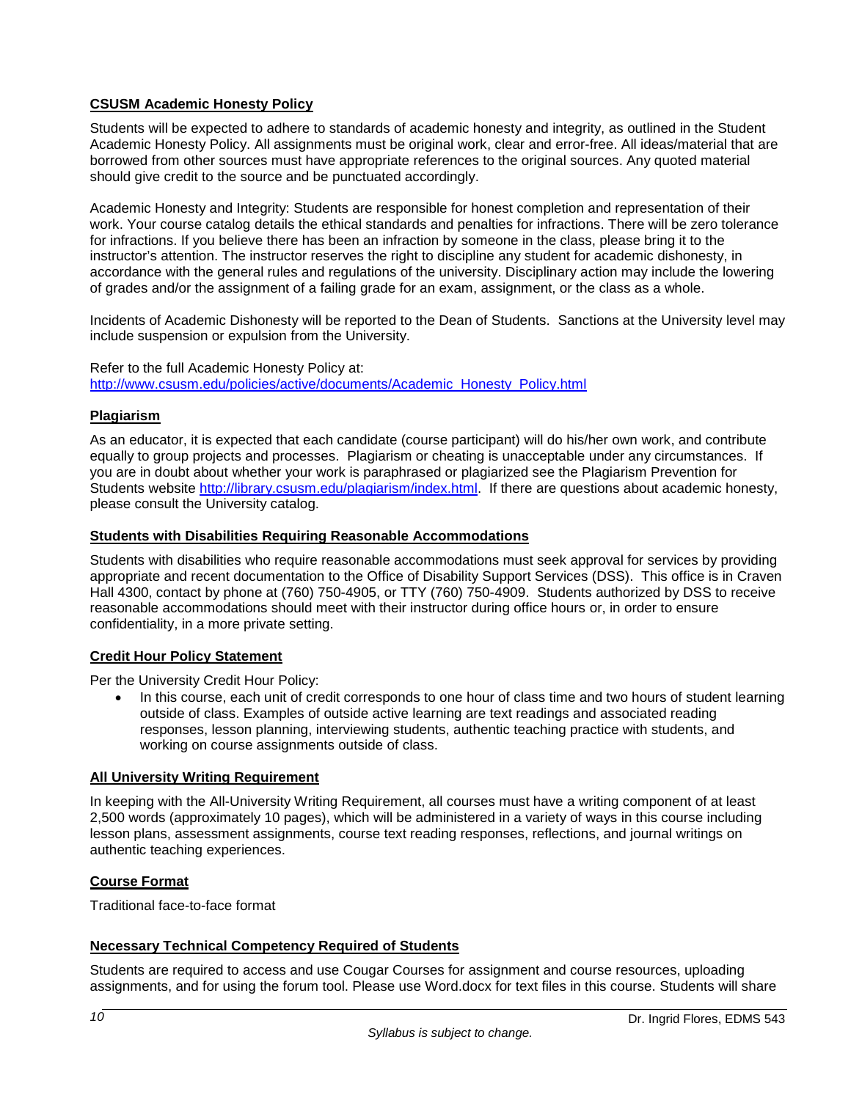## **CSUSM Academic Honesty Policy**

Students will be expected to adhere to standards of academic honesty and integrity, as outlined in the Student Academic Honesty Policy. All assignments must be original work, clear and error-free. All ideas/material that are borrowed from other sources must have appropriate references to the original sources. Any quoted material should give credit to the source and be punctuated accordingly.

Academic Honesty and Integrity: Students are responsible for honest completion and representation of their work. Your course catalog details the ethical standards and penalties for infractions. There will be zero tolerance for infractions. If you believe there has been an infraction by someone in the class, please bring it to the instructor's attention. The instructor reserves the right to discipline any student for academic dishonesty, in accordance with the general rules and regulations of the university. Disciplinary action may include the lowering of grades and/or the assignment of a failing grade for an exam, assignment, or the class as a whole.

Incidents of Academic Dishonesty will be reported to the Dean of Students. Sanctions at the University level may include suspension or expulsion from the University.

Refer to the full Academic Honesty Policy at: [http://www.csusm.edu/policies/active/documents/Academic\\_Honesty\\_Policy.html](http://www.csusm.edu/policies/active/documents/Academic_Honesty_Policy.html)

## **Plagiarism**

As an educator, it is expected that each candidate (course participant) will do his/her own work, and contribute equally to group projects and processes. Plagiarism or cheating is unacceptable under any circumstances. If you are in doubt about whether your work is paraphrased or plagiarized see the Plagiarism Prevention for Students website [http://library.csusm.edu/plagiarism/index.html.](http://library.csusm.edu/plagiarism/index.html) If there are questions about academic honesty, please consult the University catalog.

#### **Students with Disabilities Requiring Reasonable Accommodations**

Students with disabilities who require reasonable accommodations must seek approval for services by providing appropriate and recent documentation to the Office of Disability Support Services (DSS). This office is in Craven Hall 4300, contact by phone at (760) 750-4905, or TTY (760) 750-4909. Students authorized by DSS to receive reasonable accommodations should meet with their instructor during office hours or, in order to ensure confidentiality, in a more private setting.

## **Credit Hour Policy Statement**

Per the University Credit Hour Policy:

• In this course, each unit of credit corresponds to one hour of class time and two hours of student learning outside of class. Examples of outside active learning are text readings and associated reading responses, lesson planning, interviewing students, authentic teaching practice with students, and working on course assignments outside of class.

#### **All University Writing Requirement**

In keeping with the All-University Writing Requirement, all courses must have a writing component of at least 2,500 words (approximately 10 pages), which will be administered in a variety of ways in this course including lesson plans, assessment assignments, course text reading responses, reflections, and journal writings on authentic teaching experiences.

## **Course Format**

Traditional face-to-face format

## **Necessary Technical Competency Required of Students**

Students are required to access and use Cougar Courses for assignment and course resources, uploading assignments, and for using the forum tool. Please use Word.docx for text files in this course. Students will share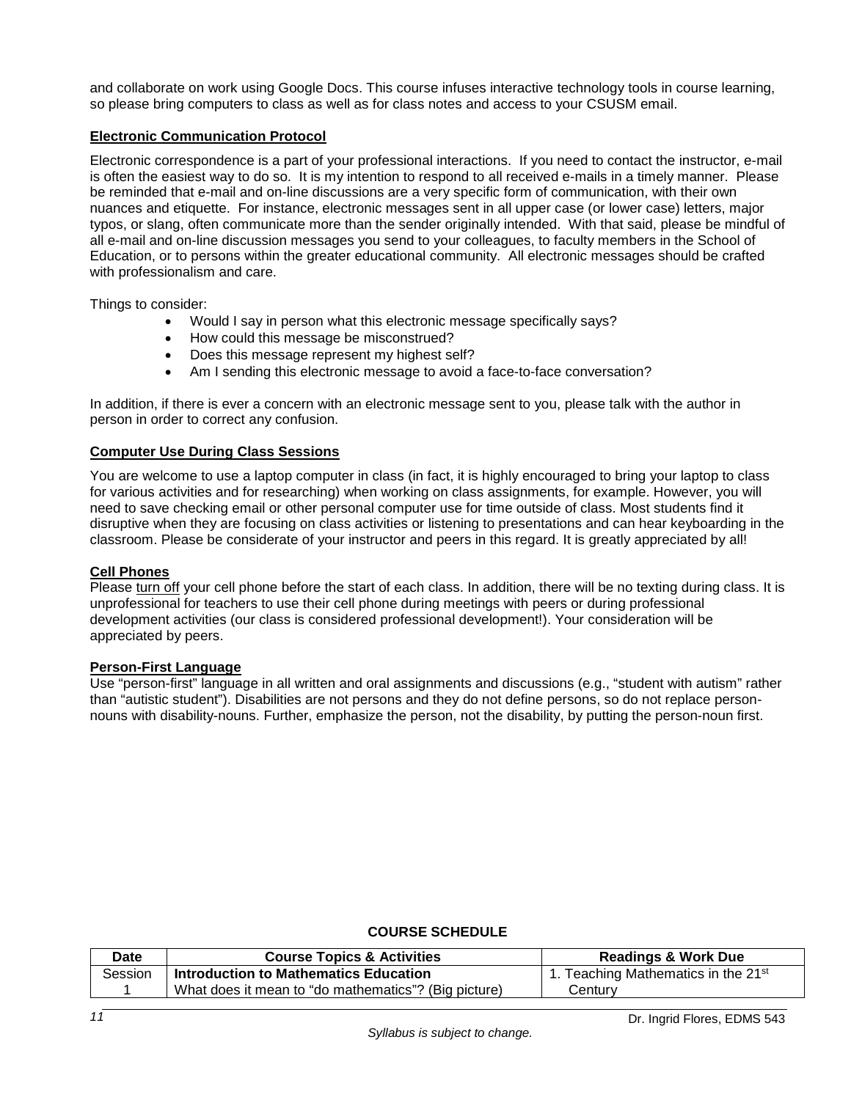and collaborate on work using Google Docs. This course infuses interactive technology tools in course learning, so please bring computers to class as well as for class notes and access to your CSUSM email.

## **Electronic Communication Protocol**

Electronic correspondence is a part of your professional interactions. If you need to contact the instructor, e-mail is often the easiest way to do so. It is my intention to respond to all received e-mails in a timely manner. Please be reminded that e-mail and on-line discussions are a very specific form of communication, with their own nuances and etiquette. For instance, electronic messages sent in all upper case (or lower case) letters, major typos, or slang, often communicate more than the sender originally intended. With that said, please be mindful of all e-mail and on-line discussion messages you send to your colleagues, to faculty members in the School of Education, or to persons within the greater educational community. All electronic messages should be crafted with professionalism and care.

Things to consider:

- Would I say in person what this electronic message specifically says?
- How could this message be misconstrued?
- Does this message represent my highest self?
- Am I sending this electronic message to avoid a face-to-face conversation?

In addition, if there is ever a concern with an electronic message sent to you, please talk with the author in person in order to correct any confusion.

## **Computer Use During Class Sessions**

You are welcome to use a laptop computer in class (in fact, it is highly encouraged to bring your laptop to class for various activities and for researching) when working on class assignments, for example. However, you will need to save checking email or other personal computer use for time outside of class. Most students find it disruptive when they are focusing on class activities or listening to presentations and can hear keyboarding in the classroom. Please be considerate of your instructor and peers in this regard. It is greatly appreciated by all!

## **Cell Phones**

Please turn off your cell phone before the start of each class. In addition, there will be no texting during class. It is unprofessional for teachers to use their cell phone during meetings with peers or during professional development activities (our class is considered professional development!). Your consideration will be appreciated by peers.

## **Person-First Language**

Use "person-first" language in all written and oral assignments and discussions (e.g., "student with autism" rather than "autistic student"). Disabilities are not persons and they do not define persons, so do not replace personnouns with disability-nouns. Further, emphasize the person, not the disability, by putting the person-noun first.

## **COURSE SCHEDULE**

| Date    | <b>Course Topics &amp; Activities</b>                | <b>Readings &amp; Work Due</b>                  |
|---------|------------------------------------------------------|-------------------------------------------------|
| Session | Introduction to Mathematics Education                | 1. Teaching Mathematics in the 21 <sup>st</sup> |
|         | What does it mean to "do mathematics"? (Big picture) | Centurv                                         |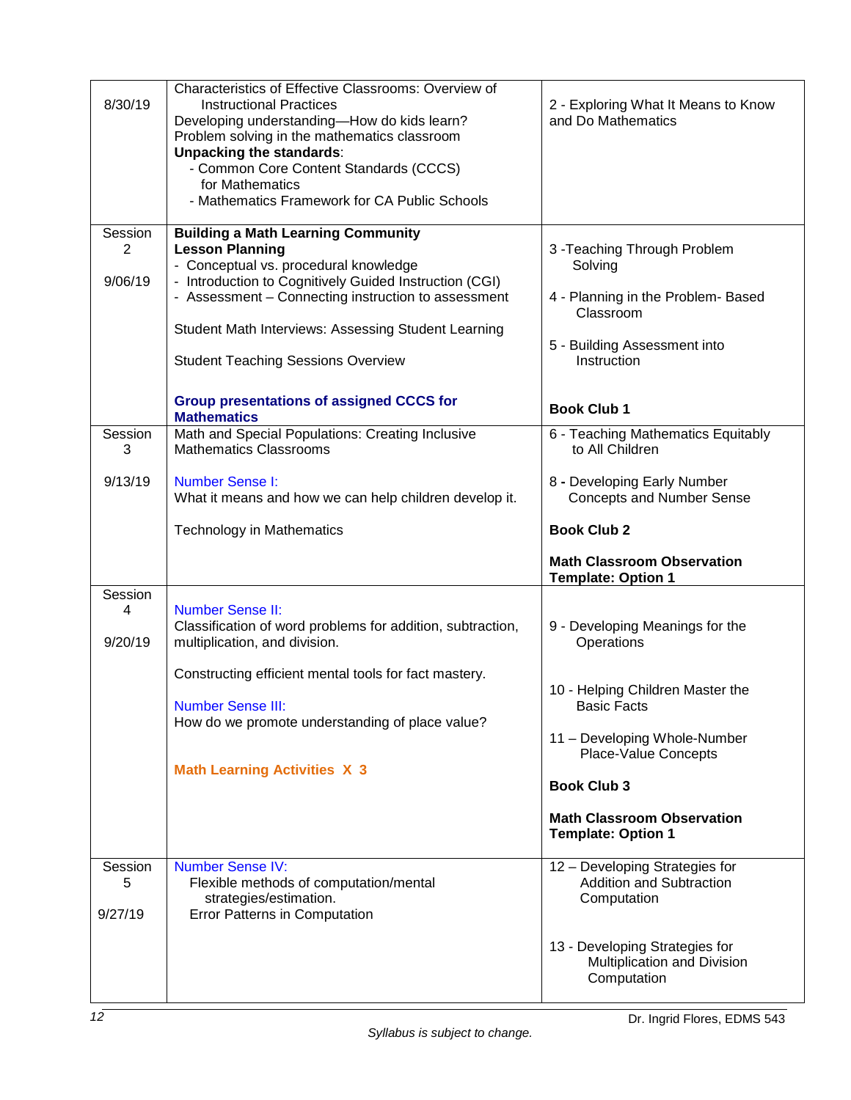| 8/30/19                 | Characteristics of Effective Classrooms: Overview of<br><b>Instructional Practices</b><br>Developing understanding-How do kids learn?<br>Problem solving in the mathematics classroom<br><b>Unpacking the standards:</b><br>- Common Core Content Standards (CCCS)<br>for Mathematics<br>- Mathematics Framework for CA Public Schools | 2 - Exploring What It Means to Know<br>and Do Mathematics                        |
|-------------------------|----------------------------------------------------------------------------------------------------------------------------------------------------------------------------------------------------------------------------------------------------------------------------------------------------------------------------------------|----------------------------------------------------------------------------------|
| Session                 | <b>Building a Math Learning Community</b>                                                                                                                                                                                                                                                                                              |                                                                                  |
| 2                       | <b>Lesson Planning</b><br>- Conceptual vs. procedural knowledge                                                                                                                                                                                                                                                                        | 3 - Teaching Through Problem<br>Solving                                          |
| 9/06/19                 | - Introduction to Cognitively Guided Instruction (CGI)<br>- Assessment - Connecting instruction to assessment                                                                                                                                                                                                                          | 4 - Planning in the Problem- Based                                               |
|                         | Student Math Interviews: Assessing Student Learning                                                                                                                                                                                                                                                                                    | Classroom                                                                        |
|                         | <b>Student Teaching Sessions Overview</b>                                                                                                                                                                                                                                                                                              | 5 - Building Assessment into<br>Instruction                                      |
|                         | <b>Group presentations of assigned CCCS for</b>                                                                                                                                                                                                                                                                                        |                                                                                  |
|                         | <b>Mathematics</b>                                                                                                                                                                                                                                                                                                                     | <b>Book Club 1</b>                                                               |
| Session<br>3            | Math and Special Populations: Creating Inclusive<br><b>Mathematics Classrooms</b>                                                                                                                                                                                                                                                      | 6 - Teaching Mathematics Equitably<br>to All Children                            |
| 9/13/19                 | <b>Number Sense I:</b>                                                                                                                                                                                                                                                                                                                 | 8 - Developing Early Number                                                      |
|                         | What it means and how we can help children develop it.                                                                                                                                                                                                                                                                                 | <b>Concepts and Number Sense</b>                                                 |
|                         | <b>Technology in Mathematics</b>                                                                                                                                                                                                                                                                                                       | <b>Book Club 2</b>                                                               |
|                         |                                                                                                                                                                                                                                                                                                                                        | <b>Math Classroom Observation</b>                                                |
|                         |                                                                                                                                                                                                                                                                                                                                        | <b>Template: Option 1</b>                                                        |
| Session                 |                                                                                                                                                                                                                                                                                                                                        |                                                                                  |
| 4<br>9/20/19            | <b>Number Sense II:</b><br>Classification of word problems for addition, subtraction,<br>multiplication, and division.                                                                                                                                                                                                                 | 9 - Developing Meanings for the<br>Operations                                    |
|                         |                                                                                                                                                                                                                                                                                                                                        |                                                                                  |
|                         | Constructing efficient mental tools for fact mastery.<br><b>Number Sense III:</b>                                                                                                                                                                                                                                                      | 10 - Helping Children Master the<br><b>Basic Facts</b>                           |
|                         | How do we promote understanding of place value?                                                                                                                                                                                                                                                                                        |                                                                                  |
|                         |                                                                                                                                                                                                                                                                                                                                        | 11 - Developing Whole-Number<br><b>Place-Value Concepts</b>                      |
|                         | <b>Math Learning Activities X 3</b>                                                                                                                                                                                                                                                                                                    | <b>Book Club 3</b>                                                               |
|                         |                                                                                                                                                                                                                                                                                                                                        | <b>Math Classroom Observation</b><br><b>Template: Option 1</b>                   |
| Session<br>5<br>9/27/19 | <b>Number Sense IV:</b><br>Flexible methods of computation/mental<br>strategies/estimation.<br><b>Error Patterns in Computation</b>                                                                                                                                                                                                    | 12 - Developing Strategies for<br><b>Addition and Subtraction</b><br>Computation |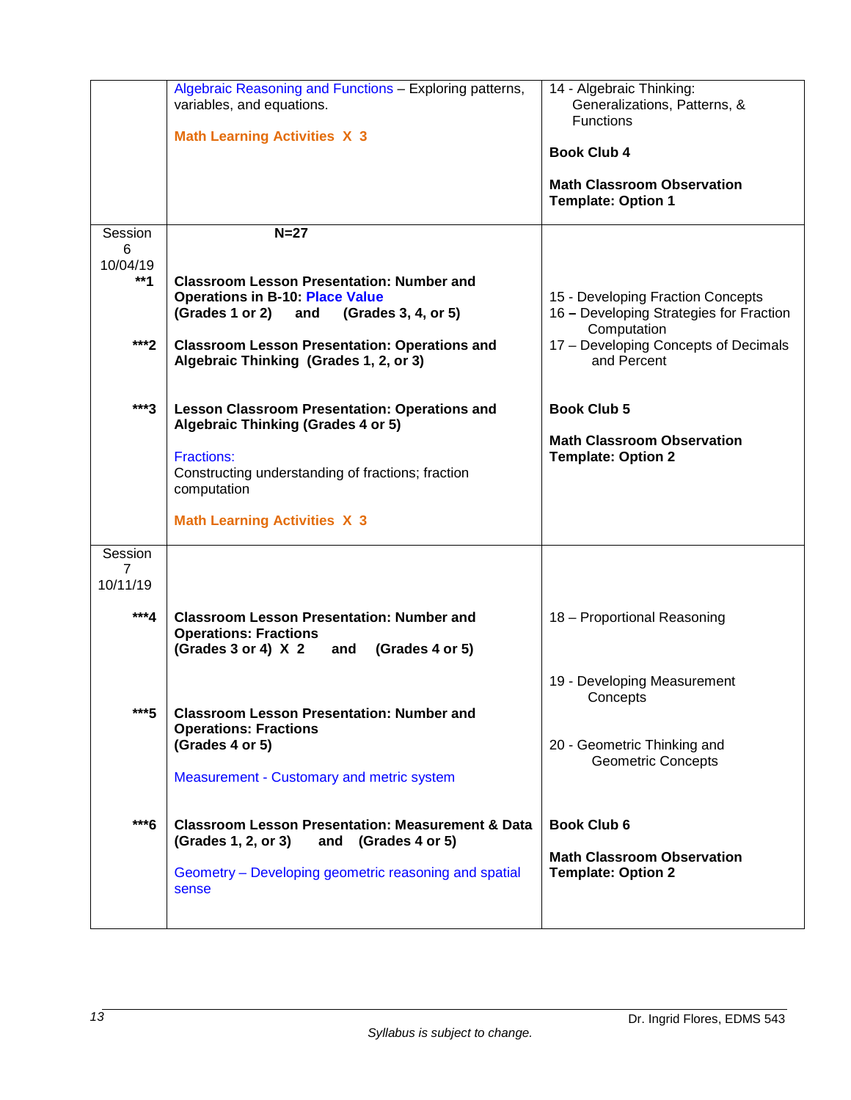|                                   | Algebraic Reasoning and Functions - Exploring patterns,<br>variables, and equations.<br><b>Math Learning Activities X 3</b>                                                  | 14 - Algebraic Thinking:<br>Generalizations, Patterns, &<br><b>Functions</b><br><b>Book Club 4</b> |
|-----------------------------------|------------------------------------------------------------------------------------------------------------------------------------------------------------------------------|----------------------------------------------------------------------------------------------------|
|                                   |                                                                                                                                                                              | <b>Math Classroom Observation</b><br><b>Template: Option 1</b>                                     |
| Session<br>6<br>10/04/19<br>$**1$ | $N=27$<br><b>Classroom Lesson Presentation: Number and</b><br><b>Operations in B-10: Place Value</b><br>(Grades 1 or 2)<br>and<br>(Grades 3, 4, or 5)                        | 15 - Developing Fraction Concepts<br>16 - Developing Strategies for Fraction                       |
| ***2                              | <b>Classroom Lesson Presentation: Operations and</b><br>Algebraic Thinking (Grades 1, 2, or 3)                                                                               | Computation<br>17 - Developing Concepts of Decimals<br>and Percent                                 |
| $***3$                            | <b>Lesson Classroom Presentation: Operations and</b><br><b>Algebraic Thinking (Grades 4 or 5)</b>                                                                            | <b>Book Club 5</b>                                                                                 |
|                                   | <b>Fractions:</b><br>Constructing understanding of fractions; fraction<br>computation                                                                                        | <b>Math Classroom Observation</b><br><b>Template: Option 2</b>                                     |
|                                   | <b>Math Learning Activities X 3</b>                                                                                                                                          |                                                                                                    |
| Session<br>7<br>10/11/19          |                                                                                                                                                                              |                                                                                                    |
| ***4                              | <b>Classroom Lesson Presentation: Number and</b><br><b>Operations: Fractions</b><br>(Grades 3 or 4) $X$ 2<br>(Grades 4 or 5)<br>and                                          | 18 - Proportional Reasoning                                                                        |
|                                   |                                                                                                                                                                              | 19 - Developing Measurement<br>Concepts                                                            |
| $***5$                            | <b>Classroom Lesson Presentation: Number and</b><br><b>Operations: Fractions</b><br>(Grades 4 or 5)<br>Measurement - Customary and metric system                             | 20 - Geometric Thinking and<br><b>Geometric Concepts</b>                                           |
| ***6                              | <b>Classroom Lesson Presentation: Measurement &amp; Data</b><br>(Grades 1, 2, or 3)<br>and (Grades 4 or 5)<br>Geometry – Developing geometric reasoning and spatial<br>sense | <b>Book Club 6</b><br><b>Math Classroom Observation</b><br><b>Template: Option 2</b>               |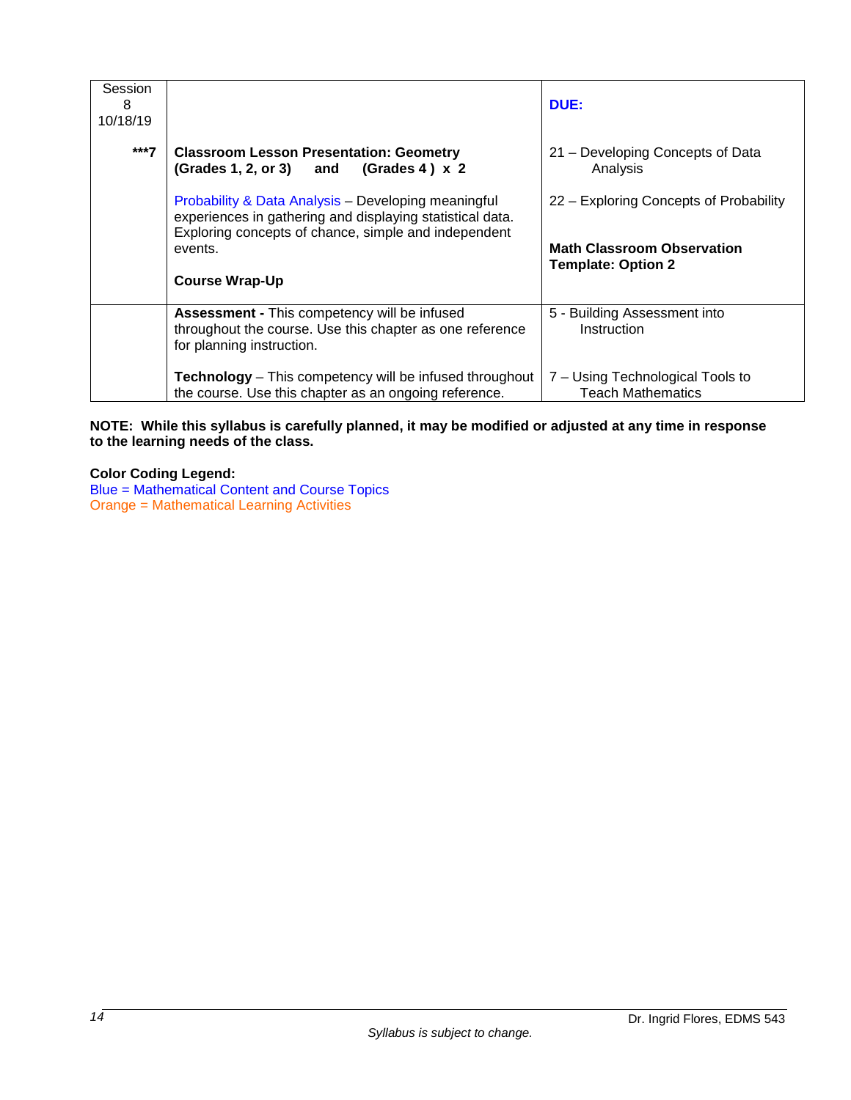| Session<br>8<br>10/18/19 |                                                                                                                                                                          | DUE:                                                           |
|--------------------------|--------------------------------------------------------------------------------------------------------------------------------------------------------------------------|----------------------------------------------------------------|
| $***7$                   | <b>Classroom Lesson Presentation: Geometry</b><br>$(Grades 4) \times 2$<br>$(Grades 1, 2, or 3)$ and                                                                     | 21 - Developing Concepts of Data<br>Analysis                   |
|                          | Probability & Data Analysis - Developing meaningful<br>experiences in gathering and displaying statistical data.<br>Exploring concepts of chance, simple and independent | 22 – Exploring Concepts of Probability                         |
|                          | events.<br><b>Course Wrap-Up</b>                                                                                                                                         | <b>Math Classroom Observation</b><br><b>Template: Option 2</b> |
|                          |                                                                                                                                                                          |                                                                |
|                          | <b>Assessment - This competency will be infused</b><br>throughout the course. Use this chapter as one reference<br>for planning instruction.                             | 5 - Building Assessment into<br>Instruction                    |
|                          | Technology - This competency will be infused throughout<br>the course. Use this chapter as an ongoing reference.                                                         | 7 – Using Technological Tools to<br><b>Teach Mathematics</b>   |

### **NOTE: While this syllabus is carefully planned, it may be modified or adjusted at any time in response to the learning needs of the class.**

**Color Coding Legend:**

Blue = Mathematical Content and Course Topics Orange = Mathematical Learning Activities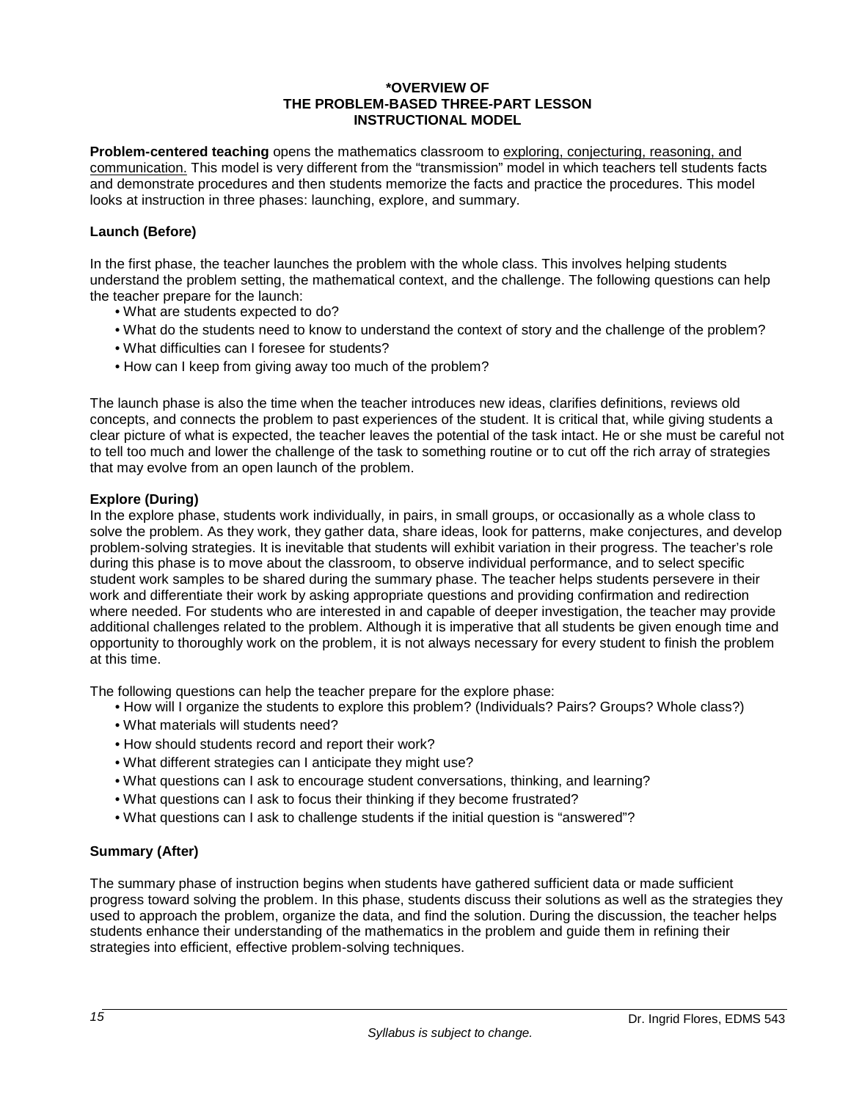#### **\*OVERVIEW OF THE PROBLEM-BASED THREE-PART LESSON INSTRUCTIONAL MODEL**

**Problem-centered teaching** opens the mathematics classroom to exploring, conjecturing, reasoning, and communication. This model is very different from the "transmission" model in which teachers tell students facts and demonstrate procedures and then students memorize the facts and practice the procedures. This model looks at instruction in three phases: launching, explore, and summary.

### **Launch (Before)**

In the first phase, the teacher launches the problem with the whole class. This involves helping students understand the problem setting, the mathematical context, and the challenge. The following questions can help the teacher prepare for the launch:

- What are students expected to do?
- What do the students need to know to understand the context of story and the challenge of the problem?
- What difficulties can I foresee for students?
- How can I keep from giving away too much of the problem?

The launch phase is also the time when the teacher introduces new ideas, clarifies definitions, reviews old concepts, and connects the problem to past experiences of the student. It is critical that, while giving students a clear picture of what is expected, the teacher leaves the potential of the task intact. He or she must be careful not to tell too much and lower the challenge of the task to something routine or to cut off the rich array of strategies that may evolve from an open launch of the problem.

#### **Explore (During)**

In the explore phase, students work individually, in pairs, in small groups, or occasionally as a whole class to solve the problem. As they work, they gather data, share ideas, look for patterns, make conjectures, and develop problem-solving strategies. It is inevitable that students will exhibit variation in their progress. The teacher's role during this phase is to move about the classroom, to observe individual performance, and to select specific student work samples to be shared during the summary phase. The teacher helps students persevere in their work and differentiate their work by asking appropriate questions and providing confirmation and redirection where needed. For students who are interested in and capable of deeper investigation, the teacher may provide additional challenges related to the problem. Although it is imperative that all students be given enough time and opportunity to thoroughly work on the problem, it is not always necessary for every student to finish the problem at this time.

The following questions can help the teacher prepare for the explore phase:

- How will I organize the students to explore this problem? (Individuals? Pairs? Groups? Whole class?)
- What materials will students need?
- How should students record and report their work?
- What different strategies can I anticipate they might use?
- What questions can I ask to encourage student conversations, thinking, and learning?
- What questions can I ask to focus their thinking if they become frustrated?
- What questions can I ask to challenge students if the initial question is "answered"?

## **Summary (After)**

The summary phase of instruction begins when students have gathered sufficient data or made sufficient progress toward solving the problem. In this phase, students discuss their solutions as well as the strategies they used to approach the problem, organize the data, and find the solution. During the discussion, the teacher helps students enhance their understanding of the mathematics in the problem and guide them in refining their strategies into efficient, effective problem-solving techniques.